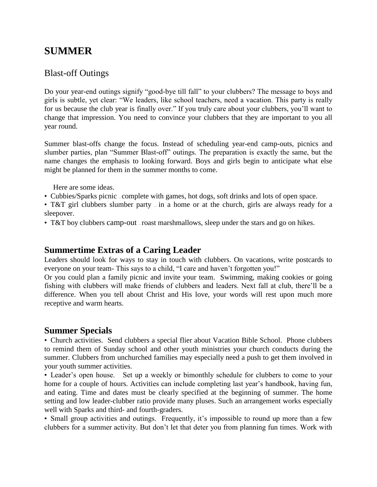## **SUMMER**

### Blast-off Outings

Do your year-end outings signify "good-bye till fall" to your clubbers? The message to boys and girls is subtle, yet clear: "We leaders, like school teachers, need a vacation. This party is really for us because the club year is finally over." If you truly care about your clubbers, you'll want to change that impression. You need to convince your clubbers that they are important to you all year round.

Summer blast-offs change the focus. Instead of scheduling year-end camp-outs, picnics and slumber parties, plan "Summer Blast-off" outings. The preparation is exactly the same, but the name changes the emphasis to looking forward. Boys and girls begin to anticipate what else might be planned for them in the summer months to come.

Here are some ideas.

• Cubbies/Sparks picnic – complete with games, hot dogs, soft drinks and lots of open space.

• T&T girl clubbers slumber party – in a home or at the church, girls are always ready for a sleepover.

• T&T boy clubbers camp-out -roast marshmallows, sleep under the stars and go on hikes.

#### **Summertime Extras of a Caring Leader**

Leaders should look for ways to stay in touch with clubbers. On vacations, write postcards to everyone on your team- This says to a child, "I care and haven't forgotten you!"

Or you could plan a family picnic and invite your team. Swimming, making cookies or going fishing with clubbers will make friends of clubbers and leaders. Next fall at club, there'll be a difference. When you tell about Christ and His love, your words will rest upon much more receptive and warm hearts.

#### **Summer Specials**

• Church activities. Send clubbers a special flier about Vacation Bible School. Phone clubbers to remind them of Sunday school and other youth ministries your church conducts during the summer. Clubbers from unchurched families may especially need a push to get them involved in your youth summer activities.

• Leader's open house. Set up a weekly or bimonthly schedule for clubbers to come to your home for a couple of hours. Activities can include completing last year's handbook, having fun, and eating. Time and dates must be clearly specified at the beginning of summer. The home setting and low leader-clubber ratio provide many pluses. Such an arrangement works especially well with Sparks and third- and fourth-graders.

• Small group activities and outings. Frequently, it's impossible to round up more than a few clubbers for a summer activity. But don't let that deter you from planning fun times. Work with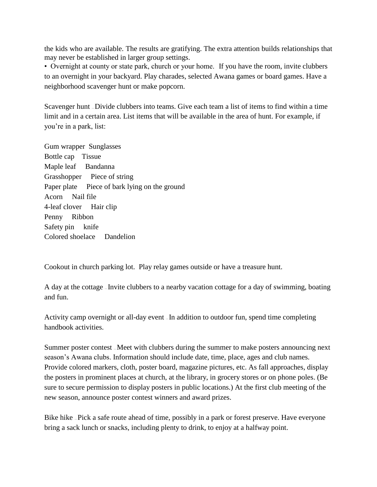the kids who are available. The results are gratifying. The extra attention builds relationships that may never be established in larger group settings.

• Overnight at county or state park, church or your home. If you have the room, invite clubbers to an overnight in your backyard. Play charades, selected Awana games or board games. Have a neighborhood scavenger hunt or make popcorn.

Scavenger hunt — Divide clubbers into teams. Give each team a list of items to find within a time limit and in a certain area. List items that will be available in the area of hunt. For example, if you're in a park, list:

Gum wrapper Sunglasses Bottle cap Tissue Maple leaf Bandanna Grasshopper Piece of string Paper plate Piece of bark lying on the ground Acorn Nail file 4-leaf clover Hair clip Penny Ribbon Safety pin knife Colored shoelace Dandelion

Cookout in church parking lot. Play relay games outside or have a treasure hunt.

A day at the cottage — Invite clubbers to a nearby vacation cottage for a day of swimming, boating and fun.

Activity camp overnight or all-day event  $\overline{\ }$ -In addition to outdoor fun, spend time completing handbook activities.

Summer poster contest — Meet with clubbers during the summer to make posters announcing next season's Awana clubs. Information should include date, time, place, ages and club names. Provide colored markers, cloth, poster board, magazine pictures, etc. As fall approaches, display the posters in prominent places at church, at the library, in grocery stores or on phone poles. (Be sure to secure permission to display posters in public locations.) At the first club meeting of the new season, announce poster contest winners and award prizes.

Bike hike – Pick a safe route ahead of time, possibly in a park or forest preserve. Have everyone bring a sack lunch or snacks, including plenty to drink, to enjoy at a halfway point.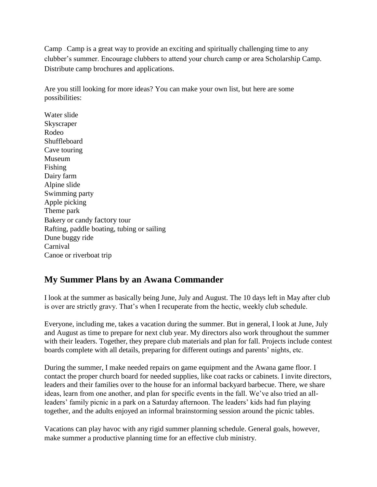Camp – Camp is a great way to provide an exciting and spiritually challenging time to any clubber's summer. Encourage clubbers to attend your church camp or area Scholarship Camp. Distribute camp brochures and applications.

Are you still looking for more ideas? You can make your own list, but here are some possibilities:

Water slide Skyscraper Rodeo Shuffleboard Cave touring Museum Fishing Dairy farm Alpine slide Swimming party Apple picking Theme park Bakery or candy factory tour Rafting, paddle boating, tubing or sailing Dune buggy ride Carnival Canoe or riverboat trip

### **My Summer Plans by an Awana Commander**

I look at the summer as basically being June, July and August. The 10 days left in May after club is over are strictly gravy. That's when I recuperate from the hectic, weekly club schedule.

Everyone, including me, takes a vacation during the summer. But in general, I look at June, July and August as time to prepare for next club year. My directors also work throughout the summer with their leaders. Together, they prepare club materials and plan for fall. Projects include contest boards complete with all details, preparing for different outings and parents' nights, etc.

During the summer, I make needed repairs on game equipment and the Awana game floor. I contact the proper church board for needed supplies, like coat racks or cabinets. I invite directors, leaders and their families over to the house for an informal backyard barbecue. There, we share ideas, learn from one another, and plan for specific events in the fall. We've also tried an allleaders' family picnic in a park on a Saturday afternoon. The leaders' kids had fun playing together, and the adults enjoyed an informal brainstorming session around the picnic tables.

Vacations can play havoc with any rigid summer planning schedule. General goals, however, make summer a productive planning time for an effective club ministry.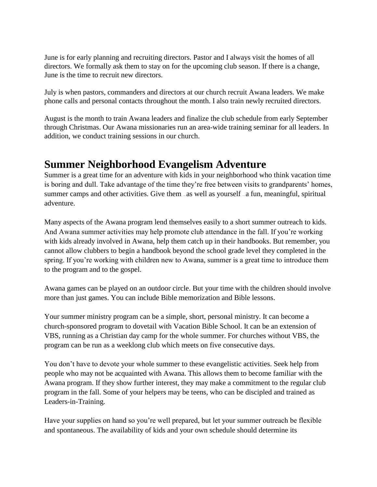June is for early planning and recruiting directors. Pastor and I always visit the homes of all directors. We formally ask them to stay on for the upcoming club season. If there is a change, June is the time to recruit new directors.

July is when pastors, commanders and directors at our church recruit Awana leaders. We make phone calls and personal contacts throughout the month. I also train newly recruited directors.

August is the month to train Awana leaders and finalize the club schedule from early September through Christmas. Our Awana missionaries run an area-wide training seminar for all leaders. In addition, we conduct training sessions in our church.

# **Summer Neighborhood Evangelism Adventure**

Summer is a great time for an adventure with kids in your neighborhood who think vacation time is boring and dull. Take advantage of the time they're free between visits to grandparents' homes, summer camps and other activities. Give them  $-\text{as}$  well as yourself  $-\text{a}$  fun, meaningful, spiritual adventure.

Many aspects of the Awana program lend themselves easily to a short summer outreach to kids. And Awana summer activities may help promote club attendance in the fall. If you're working with kids already involved in Awana, help them catch up in their handbooks. But remember, you cannot allow clubbers to begin a handbook beyond the school grade level they completed in the spring. If you're working with children new to Awana, summer is a great time to introduce them to the program and to the gospel.

Awana games can be played on an outdoor circle. But your time with the children should involve more than just games. You can include Bible memorization and Bible lessons.

Your summer ministry program can be a simple, short, personal ministry. It can become a church-sponsored program to dovetail with Vacation Bible School. It can be an extension of VBS, running as a Christian day camp for the whole summer. For churches without VBS, the program can be run as a weeklong club which meets on five consecutive days.

You don't have to devote your whole summer to these evangelistic activities. Seek help from people who may not be acquainted with Awana. This allows them to become familiar with the Awana program. If they show further interest, they may make a commitment to the regular club program in the fall. Some of your helpers may be teens, who can be discipled and trained as Leaders-in-Training.

Have your supplies on hand so you're well prepared, but let your summer outreach be flexible and spontaneous. The availability of kids and your own schedule should determine its